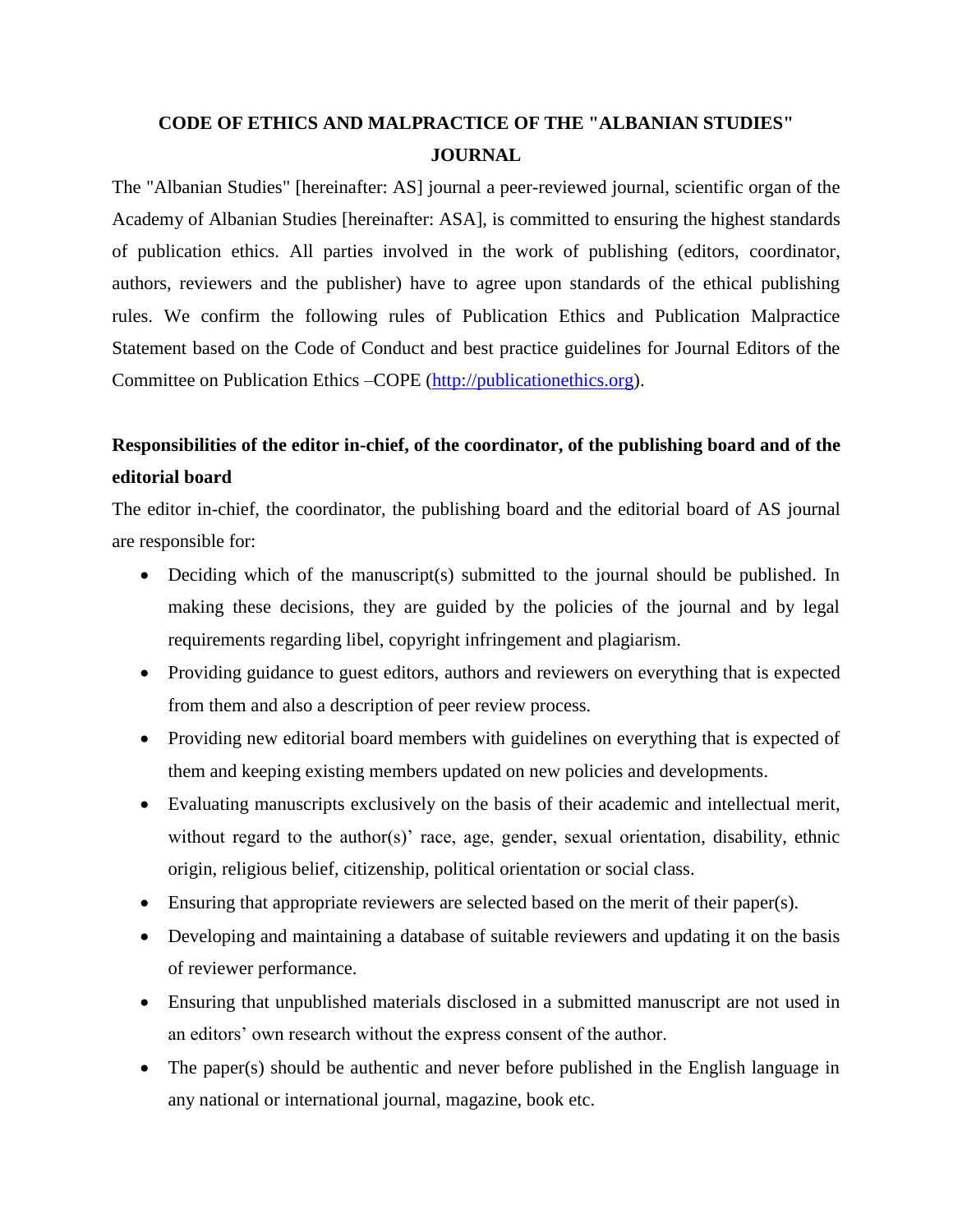## **CODE OF ETHICS AND MALPRACTICE OF THE "ALBANIAN STUDIES" JOURNAL**

The "Albanian Studies" [hereinafter: AS] journal a peer-reviewed journal, scientific organ of the Academy of Albanian Studies [hereinafter: ASA], is committed to ensuring the highest standards of publication ethics. All parties involved in the work of publishing (editors, coordinator, authors, reviewers and the publisher) have to agree upon standards of the ethical publishing rules. We confirm the following rules of Publication Ethics and Publication Malpractice Statement based on the Code of Conduct and best practice guidelines for Journal Editors of the Committee on Publication Ethics –COPE [\(http://publicationethics.org\)](http://publicationethics.org/).

# **Responsibilities of the editor in-chief, of the coordinator, of the publishing board and of the editorial board**

The editor in-chief, the coordinator, the publishing board and the editorial board of AS journal are responsible for:

- Deciding which of the manuscript(s) submitted to the journal should be published. In making these decisions, they are guided by the policies of the journal and by legal requirements regarding libel, copyright infringement and plagiarism.
- Providing guidance to guest editors, authors and reviewers on everything that is expected from them and also a description of peer review process.
- Providing new editorial board members with guidelines on everything that is expected of them and keeping existing members updated on new policies and developments.
- Evaluating manuscripts exclusively on the basis of their academic and intellectual merit, without regard to the author(s)' race, age, gender, sexual orientation, disability, ethnic origin, religious belief, citizenship, political orientation or social class.
- Ensuring that appropriate reviewers are selected based on the merit of their paper(s).
- Developing and maintaining a database of suitable reviewers and updating it on the basis of reviewer performance.
- Ensuring that unpublished materials disclosed in a submitted manuscript are not used in an editors' own research without the express consent of the author.
- The paper(s) should be authentic and never before published in the English language in any national or international journal, magazine, book etc.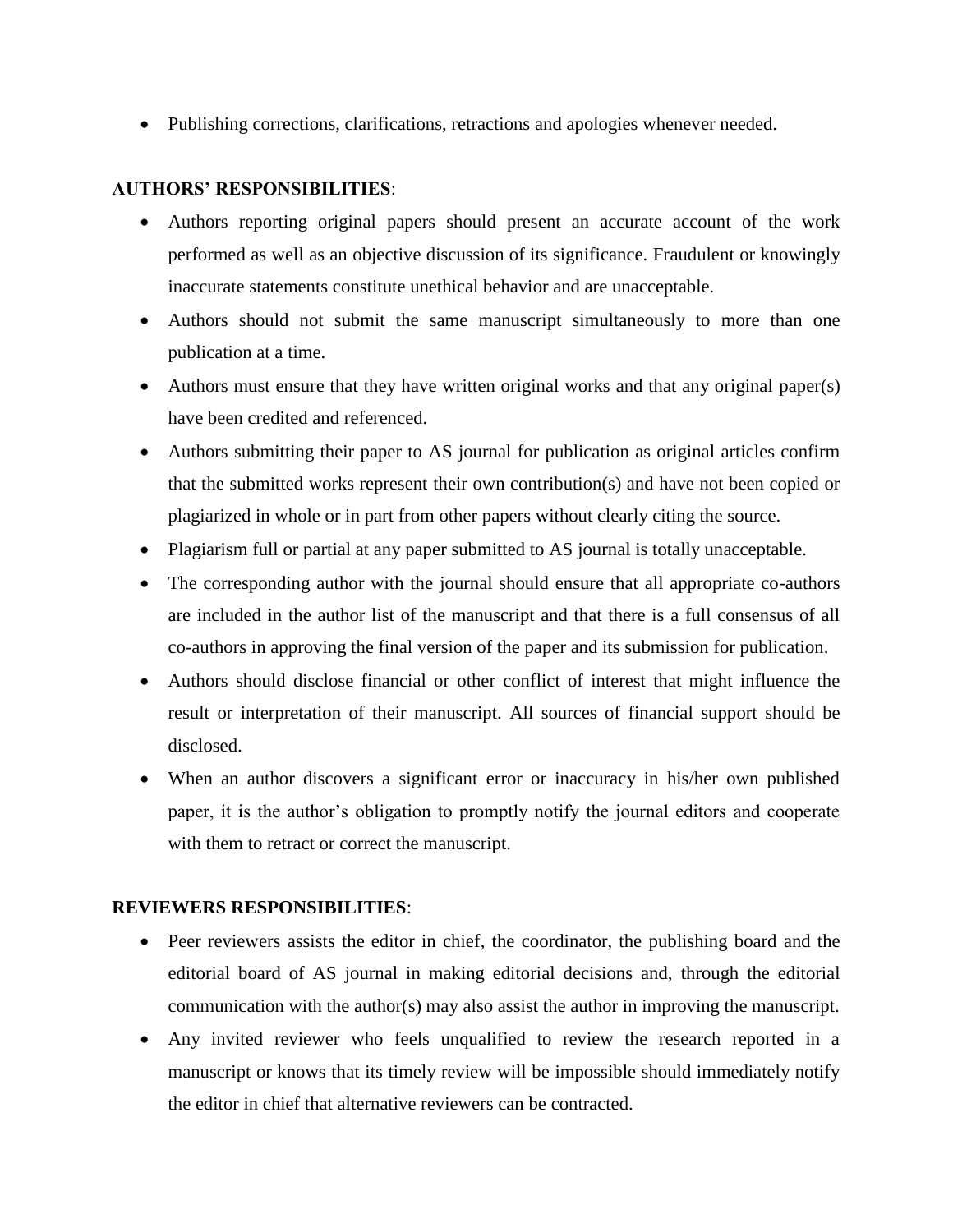Publishing corrections, clarifications, retractions and apologies whenever needed.

#### **AUTHORS' RESPONSIBILITIES**:

- Authors reporting original papers should present an accurate account of the work performed as well as an objective discussion of its significance. Fraudulent or knowingly inaccurate statements constitute unethical behavior and are unacceptable.
- Authors should not submit the same manuscript simultaneously to more than one publication at a time.
- Authors must ensure that they have written original works and that any original paper(s) have been credited and referenced.
- Authors submitting their paper to AS journal for publication as original articles confirm that the submitted works represent their own contribution(s) and have not been copied or plagiarized in whole or in part from other papers without clearly citing the source.
- Plagiarism full or partial at any paper submitted to AS journal is totally unacceptable.
- The corresponding author with the journal should ensure that all appropriate co-authors are included in the author list of the manuscript and that there is a full consensus of all co-authors in approving the final version of the paper and its submission for publication.
- Authors should disclose financial or other conflict of interest that might influence the result or interpretation of their manuscript. All sources of financial support should be disclosed.
- When an author discovers a significant error or inaccuracy in his/her own published paper, it is the author's obligation to promptly notify the journal editors and cooperate with them to retract or correct the manuscript.

#### **REVIEWERS RESPONSIBILITIES**:

- Peer reviewers assists the editor in chief, the coordinator, the publishing board and the editorial board of AS journal in making editorial decisions and, through the editorial communication with the author(s) may also assist the author in improving the manuscript.
- Any invited reviewer who feels unqualified to review the research reported in a manuscript or knows that its timely review will be impossible should immediately notify the editor in chief that alternative reviewers can be contracted.